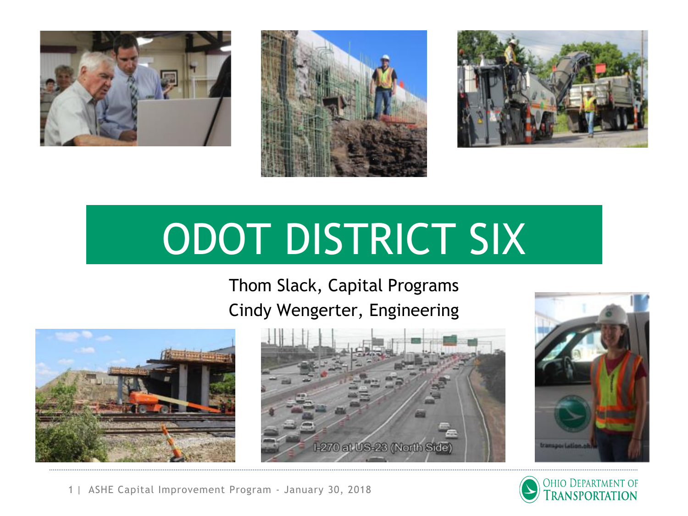





# ODOT DISTRICT SIX

Thom Slack, Capital Programs Cindy Wengerter, Engineering









1 | ASHE Capital Improvement Program - January 30, 2018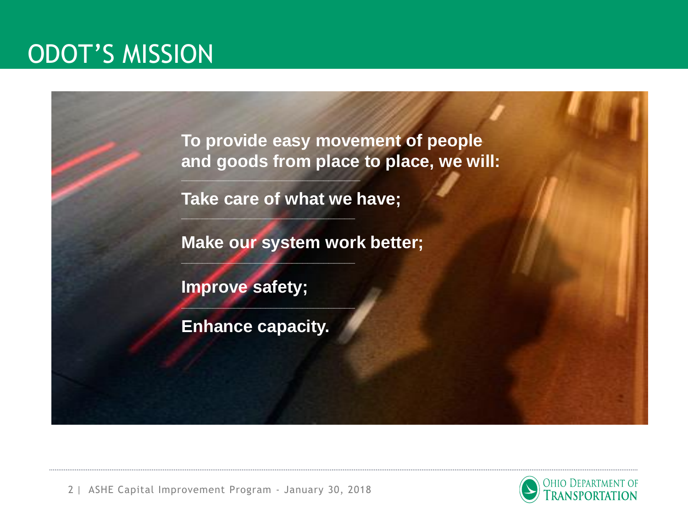#### ODOT'S MISSION

**To provide easy movement of people and goods from place to place, we will:**

**Take care of what we have;**

**\_\_\_\_\_\_\_\_\_\_\_\_\_\_\_\_\_\_\_\_\_\_\_\_\_\_\_\_\_\_\_\_\_\_**

**\_\_\_\_\_\_\_\_\_\_\_\_\_\_\_\_\_\_\_\_\_\_\_\_\_\_\_\_\_\_\_\_\_**

**\_\_\_\_\_\_\_\_\_\_\_\_\_\_\_\_\_\_\_\_\_\_\_\_\_\_\_\_\_\_\_\_\_**

**\_\_\_\_\_\_\_\_\_\_\_\_\_\_\_\_\_\_\_\_\_\_\_\_\_\_\_\_\_\_\_\_\_**

**Make our system work better;**

**Improve safety;**

**Enhance capacity.**

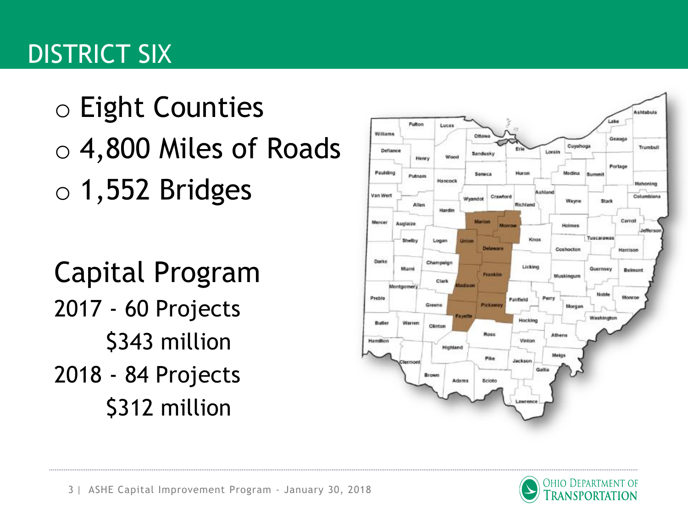## DISTRICT SIX

o Eight Counties o 4,800 Miles of Roads  $\circ$  1,552 Bridges

Capital Program 2017 - 60 Projects \$343 million 2018 - 84 Projects \$312 million



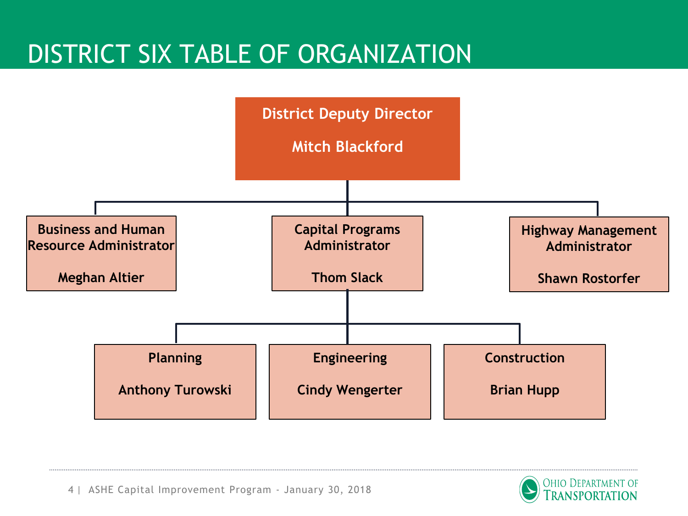### DISTRICT SIX TABLE OF ORGANIZATION



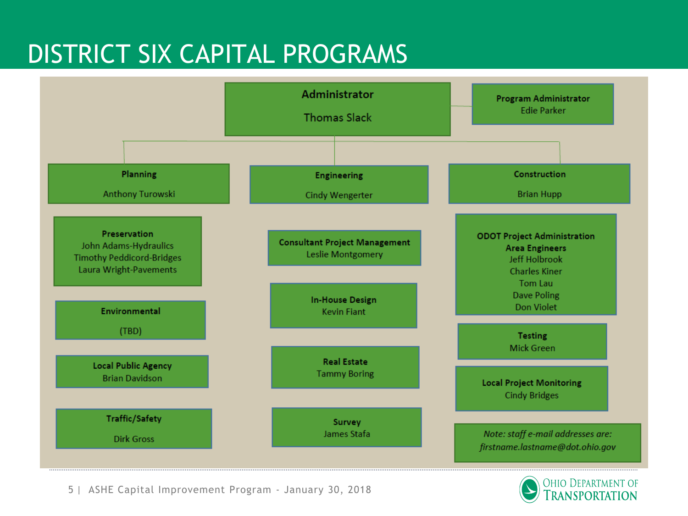### DISTRICT SIX CAPITAL PROGRAMS



5 | ASHE Capital Improvement Program - January 30, 2018

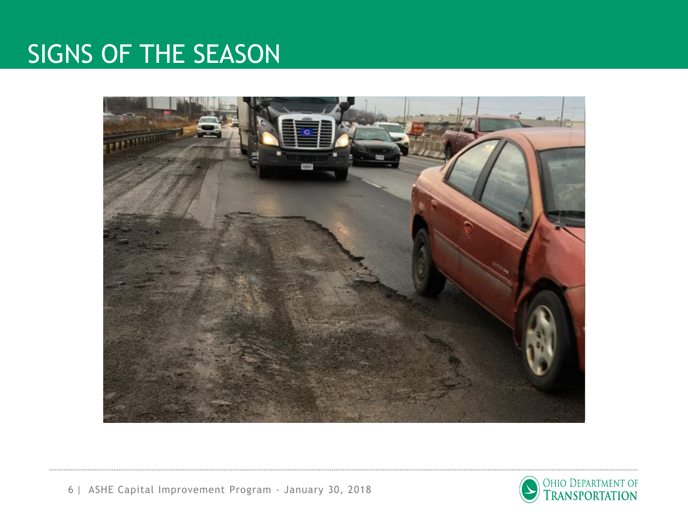#### SIGNS OF THE SEASON



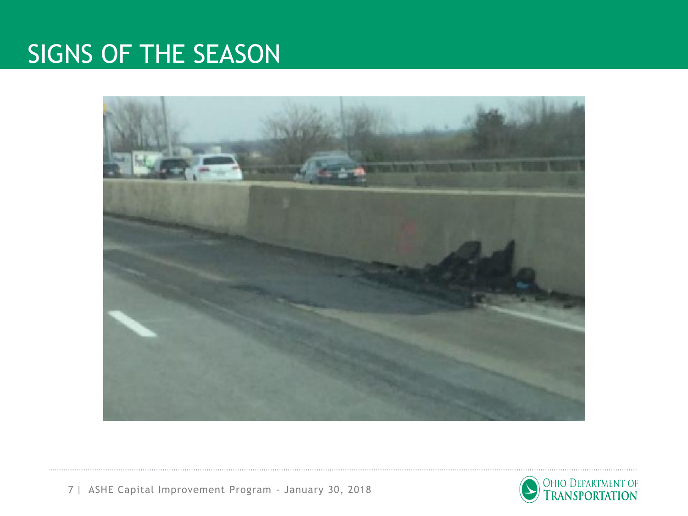### SIGNS OF THE SEASON



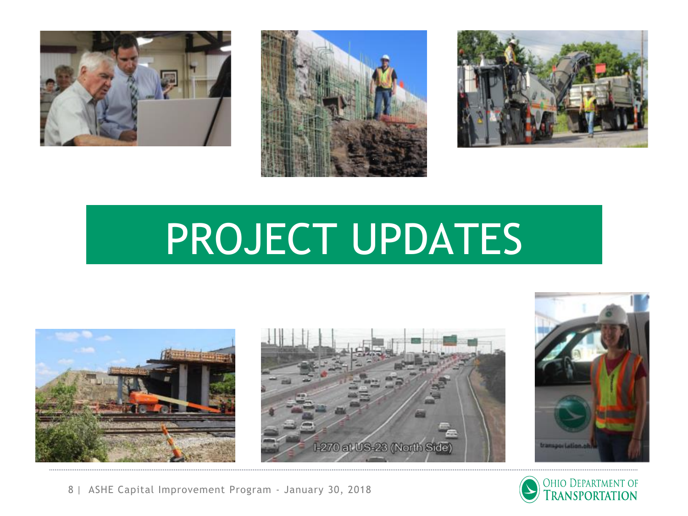





## PROJECT UPDATES







8 | ASHE Capital Improvement Program - January 30, 2018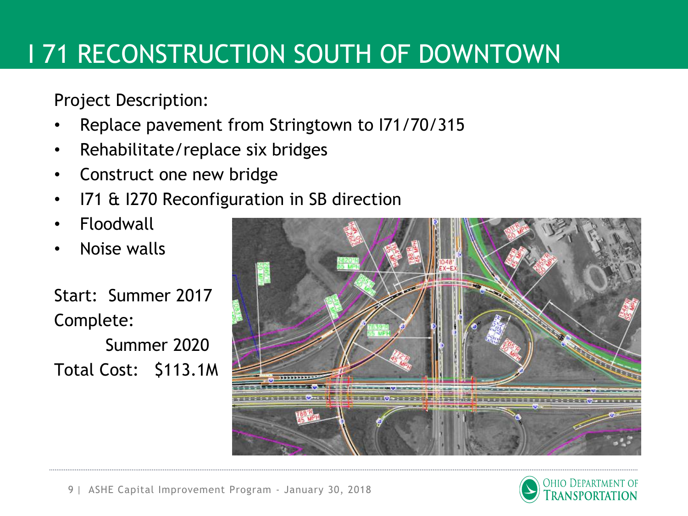## I 71 RECONSTRUCTION SOUTH OF DOWNTOWN

Project Description:

- Replace pavement from Stringtown to I71/70/315
- Rehabilitate/replace six bridges
- Construct one new bridge
- 171 & 1270 Reconfiguration in SB direction
- Floodwall
- Noise walls

Start: Summer 2017 Complete:

Summer 2020 Total Cost: \$113.1M



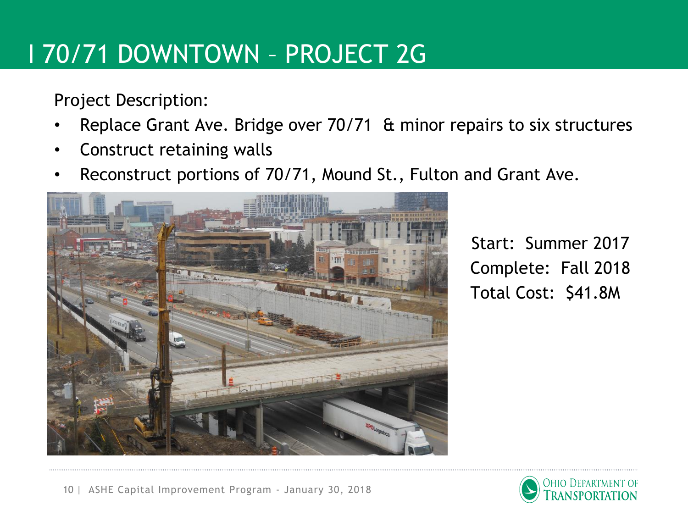### I 70/71 DOWNTOWN – PROJECT 2G

Project Description:

- Replace Grant Ave. Bridge over 70/71 & minor repairs to six structures
- Construct retaining walls
- Reconstruct portions of 70/71, Mound St., Fulton and Grant Ave.



• Start: Summer 2017 Complete: Fall 2018 • Total Cost: \$41.8M

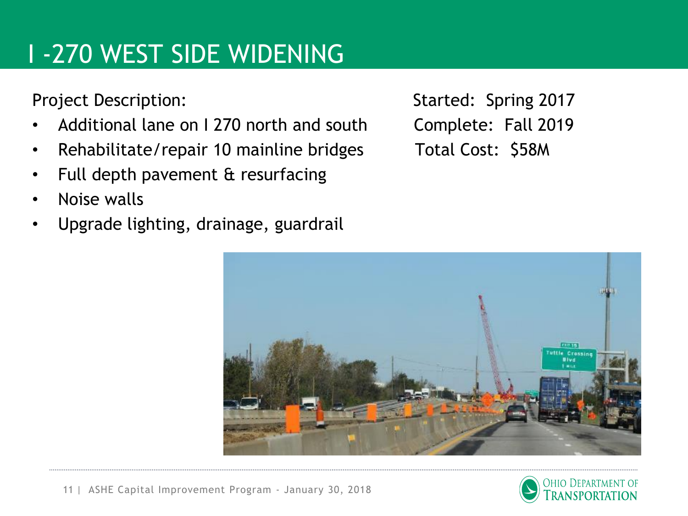## I -270 WEST SIDE WIDENING

- Additional lane on I 270 north and south Complete: Fall 2019
- Rehabilitate/repair 10 mainline bridges Total Cost: \$58M
- Full depth pavement & resurfacing
- Noise walls
- Upgrade lighting, drainage, guardrail

Project Description: Started: Spring 2017



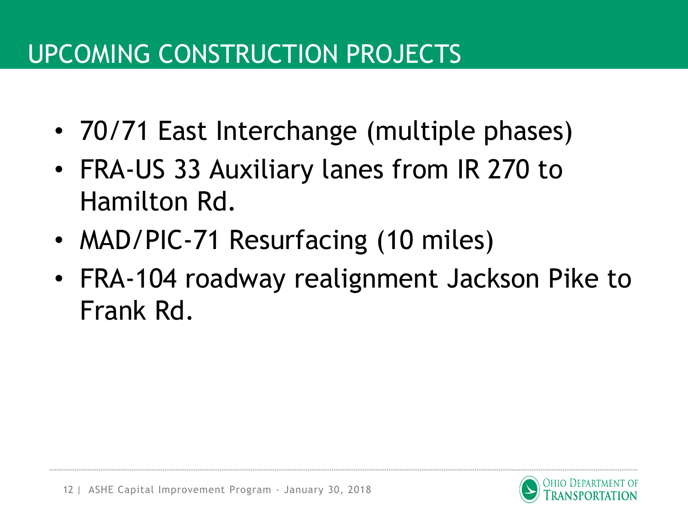## UPCOMING CONSTRUCTION PROJECTS

- 70/71 East Interchange (multiple phases)
- FRA-US 33 Auxiliary lanes from IR 270 to Hamilton Rd.
- MAD/PIC-71 Resurfacing (10 miles)
- FRA-104 roadway realignment Jackson Pike to Frank Rd.

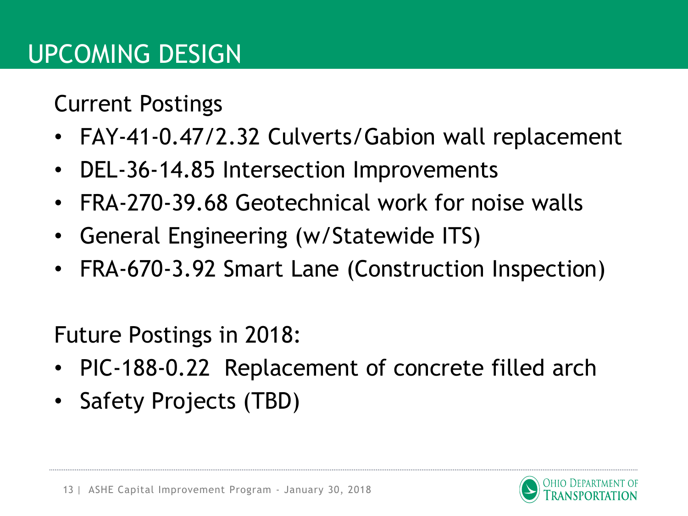Current Postings

- FAY-41-0.47/2.32 Culverts/Gabion wall replacement
- DEL-36-14.85 Intersection Improvements
- FRA-270-39.68 Geotechnical work for noise walls
- General Engineering (w/Statewide ITS)
- FRA-670-3.92 Smart Lane (Construction Inspection)

Future Postings in 2018:

- PIC-188-0.22 Replacement of concrete filled arch
- Safety Projects (TBD)

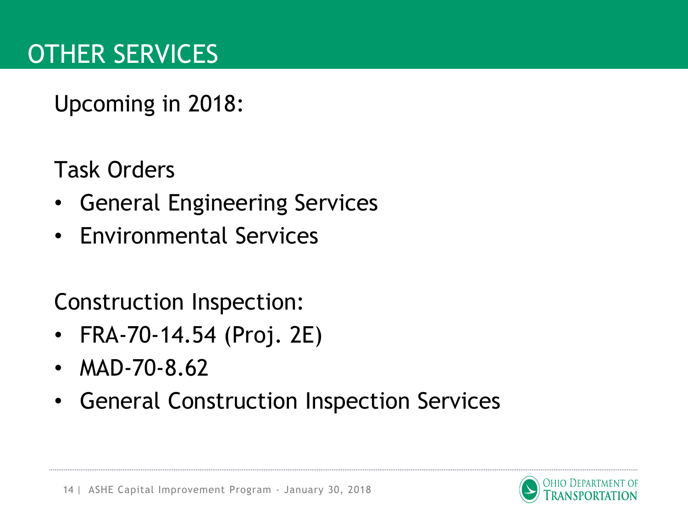Upcoming in 2018:

Task Orders

- General Engineering Services
- Environmental Services

Construction Inspection:

- FRA-70-14.54 (Proj. 2E)
- MAD-70-8.62
- General Construction Inspection Services

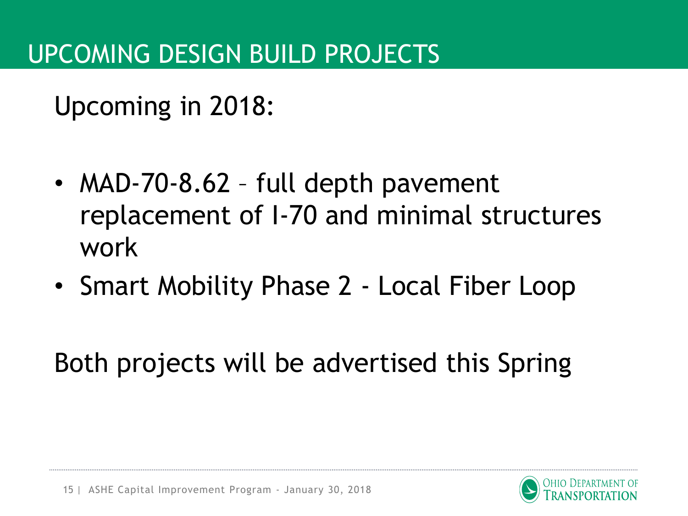Upcoming in 2018:

- MAD-70-8.62 full depth pavement replacement of I-70 and minimal structures work
- Smart Mobility Phase 2 Local Fiber Loop

Both projects will be advertised this Spring